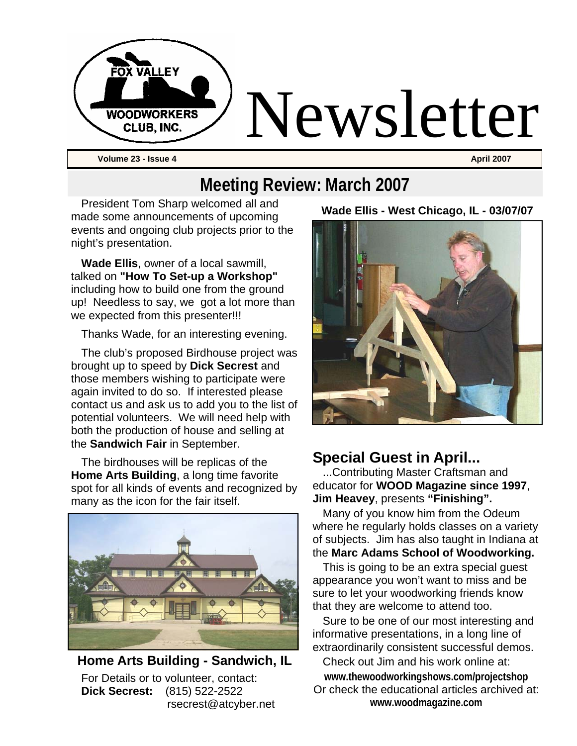

# **Meeting Review: March 2007**

President Tom Sharp welcomed all and made some announcements of upcoming events and ongoing club projects prior to the night's presentation.

**Wade Ellis**, owner of a local sawmill, talked on **"How To Set-up a Workshop"**  including how to build one from the ground up! Needless to say, we got a lot more than we expected from this presenter!!!

Thanks Wade, for an interesting evening.

The club's proposed Birdhouse project was brought up to speed by **Dick Secrest** and those members wishing to participate were again invited to do so. If interested please contact us and ask us to add you to the list of potential volunteers. We will need help with both the production of house and selling at the **Sandwich Fair** in September.

The birdhouses will be replicas of the **Home Arts Building**, a long time favorite spot for all kinds of events and recognized by many as the icon for the fair itself.



**Home Arts Building - Sandwich, IL**  For Details or to volunteer, contact: **Dick Secrest:** (815) 522-2522 rsecrest@atcyber.net

#### **Wade Ellis - West Chicago, IL - 03/07/07**



#### **Special Guest in April...**

...Contributing Master Craftsman and educator for **WOOD Magazine since 1997**, **Jim Heavey**, presents **"Finishing".** 

Many of you know him from the Odeum where he regularly holds classes on a variety of subjects. Jim has also taught in Indiana at the **Marc Adams School of Woodworking.** 

This is going to be an extra special guest appearance you won't want to miss and be sure to let your woodworking friends know that they are welcome to attend too.

Sure to be one of our most interesting and informative presentations, in a long line of extraordinarily consistent successful demos.

Check out Jim and his work online at: **www.thewoodworkingshows.com/projectshop**  Or check the educational articles archived at: **www.woodmagazine.com**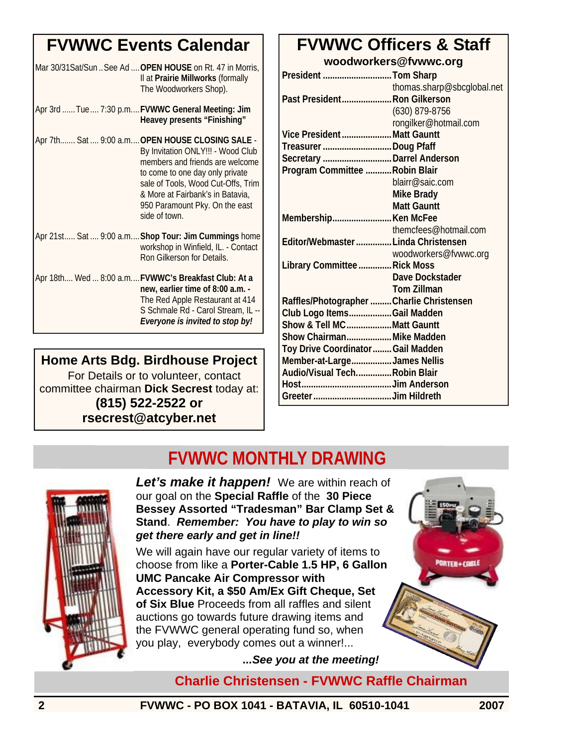## **FVWWC Events Calendar**

| Mar 30/31Sat/Sun  See Ad  OPEN HOUSE on Rt. 47 in Morris,<br>Il at Prairie Millworks (formally<br>The Woodworkers Shop).                                                                                                                                                                |
|-----------------------------------------------------------------------------------------------------------------------------------------------------------------------------------------------------------------------------------------------------------------------------------------|
| Apr 3rd  Tue  7:30 p.m FVWWC General Meeting: Jim<br>Heavey presents "Finishing"                                                                                                                                                                                                        |
| Apr 7th Sat  9:00 a.m OPEN HOUSE CLOSING SALE -<br>By Invitation ONLY!!! - Wood Club<br>members and friends are welcome<br>to come to one day only private<br>sale of Tools, Wood Cut-Offs, Trim<br>& More at Fairbank's in Batavia,<br>950 Paramount Pky. On the east<br>side of town. |
| Apr 21st Sat  9:00 a.m Shop Tour: Jim Cummings home<br>workshop in Winfield, IL. - Contact<br>Ron Gilkerson for Details.                                                                                                                                                                |
| Apr 18th Wed  8:00 a.m FVWWC's Breakfast Club: At a<br>new, earlier time of 8:00 a.m. -<br>The Red Apple Restaurant at 414<br>S Schmale Rd - Carol Stream, IL --<br>Everyone is invited to stop by!                                                                                     |

#### **Home Arts Bdg. Birdhouse Project** For Details or to volunteer, contact committee chairman **Dick Secrest** today at: **(815) 522-2522 or rsecrest@atcyber.net**

#### **FVWWC Officers & Staff woodworkers@fvwwc.org**

| President Tom Sharp                       |                            |
|-------------------------------------------|----------------------------|
|                                           | thomas.sharp@sbcglobal.net |
| Past President Ron Gilkerson              |                            |
|                                           | $(630)$ 879-8756           |
|                                           | rongilker@hotmail.com      |
| Vice PresidentMatt Gauntt                 |                            |
| Treasurer Doug Pfaff                      |                            |
| Secretary  Darrel Anderson                |                            |
| Program Committee  Robin Blair            |                            |
|                                           | blairr@saic.com            |
|                                           | <b>Mike Brady</b>          |
|                                           | <b>Matt Gauntt</b>         |
| Membership Ken McFee                      |                            |
|                                           | themcfees@hotmail.com      |
| Editor/Webmaster  Linda Christensen       |                            |
|                                           | woodworkers@fvwwc.org      |
| Library Committee  Rick Moss              |                            |
|                                           | Dave Dockstader            |
|                                           | <b>Tom Zillman</b>         |
| Raffles/Photographer  Charlie Christensen |                            |
| Club Logo ItemsGail Madden                |                            |
| Show & Tell MCMatt Gauntt                 |                            |
| Show Chairman Mike Madden                 |                            |
| Toy Drive Coordinator  Gail Madden        |                            |
| Member-at-LargeJames Nellis               |                            |
| Audio/Visual TechRobin Blair              |                            |
|                                           |                            |
|                                           |                            |

## **FVWWC MONTHLY DRAWING**



*Let's make it happen!* We are within reach of our goal on the **Special Raffle** of the **30 Piece Bessey Assorted "Tradesman" Bar Clamp Set & Stand**. *Remember: You have to play to win so get there early and get in line!!* 

We will again have our regular variety of items to choose from like a **Porter-Cable 1.5 HP, 6 Gallon UMC Pancake Air Compressor with Accessory Kit, a \$50 Am/Ex Gift Cheque, Set of Six Blue** Proceeds from all raffles and silent auctions go towards future drawing items and the FVWWC general operating fund so, when you play, everybody comes out a winner!...

*...See you at the meeting!* 

**Charlie Christensen - FVWWC Raffle Chairman** 

**2 FVWWC - PO BOX 1041 - BATAVIA, IL 60510-1041 2007** 

PORTER+CABLE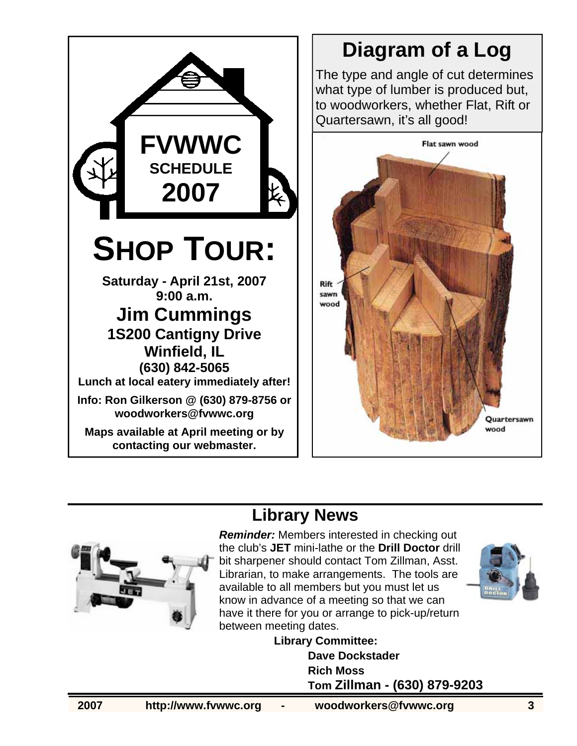

# **Diagram of a Log**

The type and angle of cut determines what type of lumber is produced but, to woodworkers, whether Flat, Rift or Quartersawn, it's all good!



# **Library News**



*Reminder:* Members interested in checking out the club's **JET** mini-lathe or the **Drill Doctor** drill bit sharpener should contact Tom Zillman, Asst. Librarian, to make arrangements. The tools are available to all members but you must let us know in advance of a meeting so that we can have it there for you or arrange to pick-up/return between meeting dates.



**Library Committee: Dave Dockstader Rich Moss Tom Zillman - (630) 879-9203**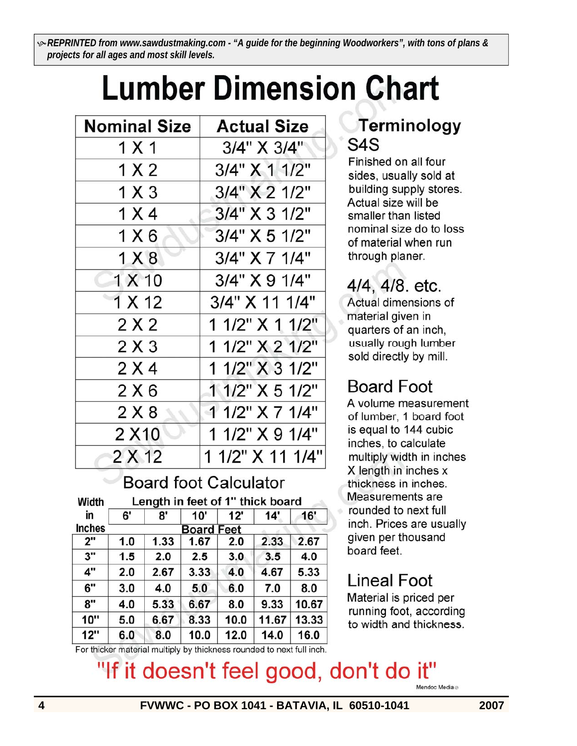K *REPRINTED from www.sawdustmaking.com - "A guide for the beginning Woodworkers", with tons of plans & projects for all ages and most skill levels.* 

# **Lumber Dimension Chart**

| <b>Nominal Size</b> | <b>Actual Size</b> |  |  |  |
|---------------------|--------------------|--|--|--|
| 1 X 1               | 3/4" X 3/4"        |  |  |  |
| 1 X 2               | 3/4" X 1 1/2"      |  |  |  |
| $1 \times 3$        | 3/4" X 2 1/2"      |  |  |  |
| 1 X 4               | 3/4" X 3 1/2"      |  |  |  |
| 1 X 6               | 3/4" X 5 1/2"      |  |  |  |
| 1 X 8               | 3/4" X 7 1/4"      |  |  |  |
| 1 X 10              | 3/4" X 9 1/4"      |  |  |  |
| 1 X 12              | 3/4" X 11 1/4"     |  |  |  |
| 2 X 2               | 1 1/2" X 1 1/2"    |  |  |  |
| 2X3                 | 1 1/2" X 2 1/2"    |  |  |  |
| 2 X 4               | 1 1/2" X 3 1/2"    |  |  |  |
| 2X6                 | 1 1/2" X 5 1/2"    |  |  |  |
| 2X8                 | 1 1/2" X 7 1/4"    |  |  |  |
| 2 X 10              | 1 1/2" X 9 1/4"    |  |  |  |
| 2 X 12              | 1 1/2" X 11 1/4"   |  |  |  |

## **Board foot Calculator**

| width  | Length in feet of 1" thick board |      |      |      |       |       |  |
|--------|----------------------------------|------|------|------|-------|-------|--|
| in     | 6'                               | 8'   | 10'  | 12'  | 14'   | 16'   |  |
| Inches | <b>Board Feet</b>                |      |      |      |       |       |  |
| 2"     | 1.0                              | 1.33 | 1.67 | 2.0  | 2.33  | 2.67  |  |
| 3"     | 1.5                              | 2.0  | 2.5  | 3.0  | 3.5   | 4.0   |  |
| 4"     | 2.0                              | 2.67 | 3.33 | 4.0  | 4.67  | 5.33  |  |
| 6''    | 3.0                              | 4.0  | 5.0  | 6.0  | 7.0   | 8.0   |  |
| 8"     | 4.0                              | 5.33 | 6.67 | 8.0  | 9.33  | 10.67 |  |
| 10"    | 5.0                              | 6.67 | 8.33 | 10.0 | 11.67 | 13.33 |  |
| 12"    | 6.0                              | 8.0  | 10.0 | 12.0 | 14.0  | 16.0  |  |

### **Terminology** S<sub>4</sub>S

Finished on all four sides, usually sold at building supply stores. Actual size will be smaller than listed nominal size do to loss of material when run through planer.

# 4/4, 4/8. etc.

Actual dimensions of material given in quarters of an inch, usually rough lumber sold directly by mill.

# **Board Foot**

A volume measurement of lumber, 1 board foot is equal to 144 cubic inches, to calculate multiply width in inches X length in inches x thickness in inches. Measurements are rounded to next full inch. Prices are usually given per thousand board feet.

## Lineal Foot

Material is priced per running foot, according to width and thickness.

For thicker material multiply by thickness rounded to next full inch.

# "If it doesn't feel good, don't do it"

Mendoc Media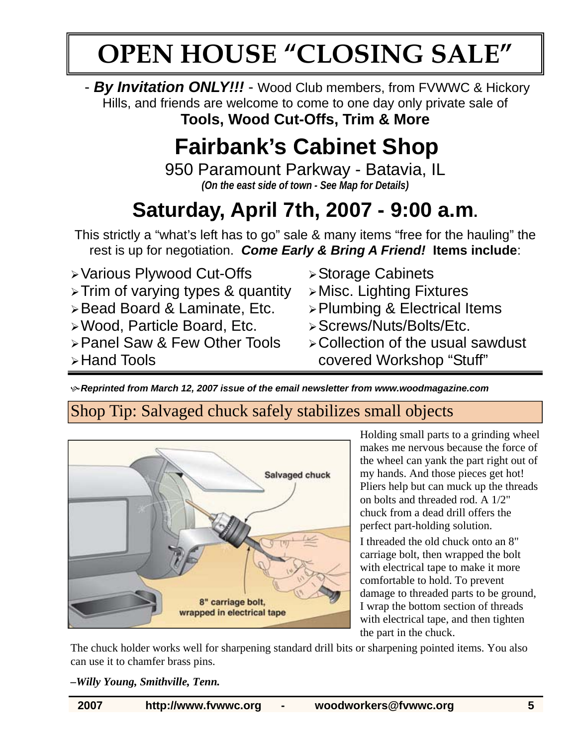# **OPEN HOUSE "CLOSING SALE"**

- *By Invitation ONLY!!!* - Wood Club members, from FVWWC & Hickory Hills, and friends are welcome to come to one day only private sale of

**Tools, Wood Cut-Offs, Trim & More**

# **Fairbank's Cabinet Shop**

950 Paramount Parkway - Batavia, IL *(On the east side of town - See Map for Details)* 

# **Saturday, April 7th, 2007 - 9:00 a.m.**

This strictly a "what's left has to go" sale & many items "free for the hauling" the rest is up for negotiation. *Come Early & Bring A Friend!* **Items include**:

- ¾ Various Plywood Cut-Offs
- ¾ Trim of varying types & quantity
- ¾ Bead Board & Laminate, Etc.
- ¾ Wood, Particle Board, Etc.
- ¾ Panel Saw & Few Other Tools

¾ Hand Tools

- ¾ Storage Cabinets
- ¾ Misc. Lighting Fixtures
- ¾ Plumbing & Electrical Items
- ¾ Screws/Nuts/Bolts/Etc.
- ¾ Collection of the usual sawdust covered Workshop "Stuff"

K *Reprinted from March 12, 2007 issue of the email newsletter from www.woodmagazine.com*

#### Shop Tip: Salvaged chuck safely stabilizes small objects



Holding small parts to a grinding wheel makes me nervous because the force of the wheel can yank the part right out of my hands. And those pieces get hot! Pliers help but can muck up the threads on bolts and threaded rod. A 1/2" chuck from a dead drill offers the perfect part-holding solution.

I threaded the old chuck onto an 8" carriage bolt, then wrapped the bolt with electrical tape to make it more comfortable to hold. To prevent damage to threaded parts to be ground, I wrap the bottom section of threads with electrical tape, and then tighten the part in the chuck.

The chuck holder works well for sharpening standard drill bits or sharpening pointed items. You also can use it to chamfer brass pins.

#### *–Willy Young, Smithville, Tenn.*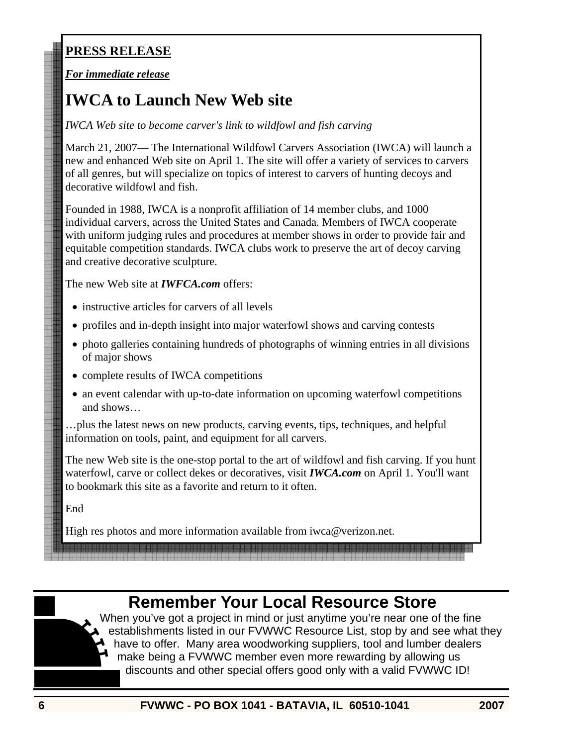#### **PRESS RELEASE**

#### *For immediate release*

### **IWCA to Launch New Web site**

*IWCA Web site to become carver's link to wildfowl and fish carving*

March 21, 2007— The International Wildfowl Carvers Association (IWCA) will launch a new and enhanced Web site on April 1. The site will offer a variety of services to carvers of all genres, but will specialize on topics of interest to carvers of hunting decoys and decorative wildfowl and fish.

Founded in 1988, IWCA is a nonprofit affiliation of 14 member clubs, and 1000 individual carvers, across the United States and Canada. Members of IWCA cooperate with uniform judging rules and procedures at member shows in order to provide fair and equitable competition standards. IWCA clubs work to preserve the art of decoy carving and creative decorative sculpture.

The new Web site at *IWFCA.com* offers:

- instructive articles for carvers of all levels
- profiles and in-depth insight into major waterfowl shows and carving contests
- photo galleries containing hundreds of photographs of winning entries in all divisions of major shows
- complete results of IWCA competitions
- an event calendar with up-to-date information on upcoming waterfowl competitions and shows…

…plus the latest news on new products, carving events, tips, techniques, and helpful information on tools, paint, and equipment for all carvers.

The new Web site is the one-stop portal to the art of wildfowl and fish carving. If you hunt waterfowl, carve or collect dekes or decoratives, visit *IWCA.com* on April 1. You'll want to bookmark this site as a favorite and return to it often.

End

High res photos and more information available from iwca@verizon.net.

### **Remember Your Local Resource Store**

When you've got a project in mind or just anytime you're near one of the fine establishments listed in our FVWWC Resource List, stop by and see what they have to offer. Many area woodworking suppliers, tool and lumber dealers make being a FVWWC member even more rewarding by allowing us discounts and other special offers good only with a valid FVWWC ID!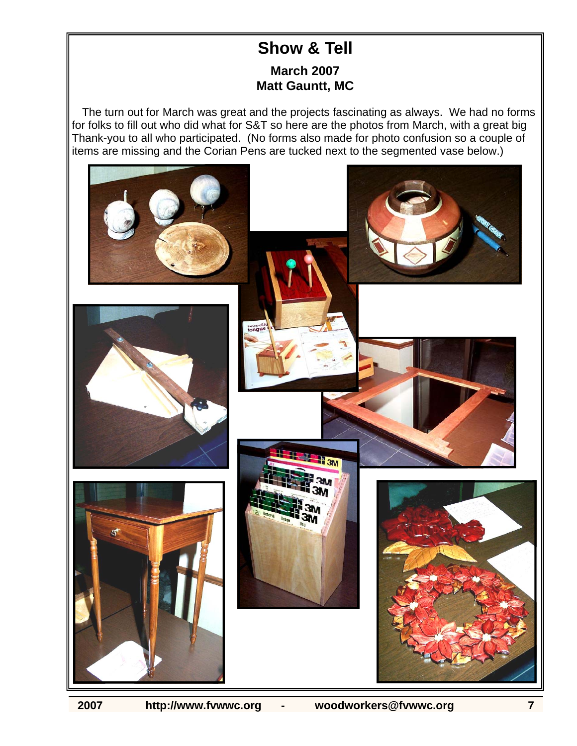#### **Show & Tell March 2007 Matt Gauntt, MC**

The turn out for March was great and the projects fascinating as always. We had no forms for folks to fill out who did what for S&T so here are the photos from March, with a great big Thank-you to all who participated. (No forms also made for photo confusion so a couple of items are missing and the Corian Pens are tucked next to the segmented vase below.)